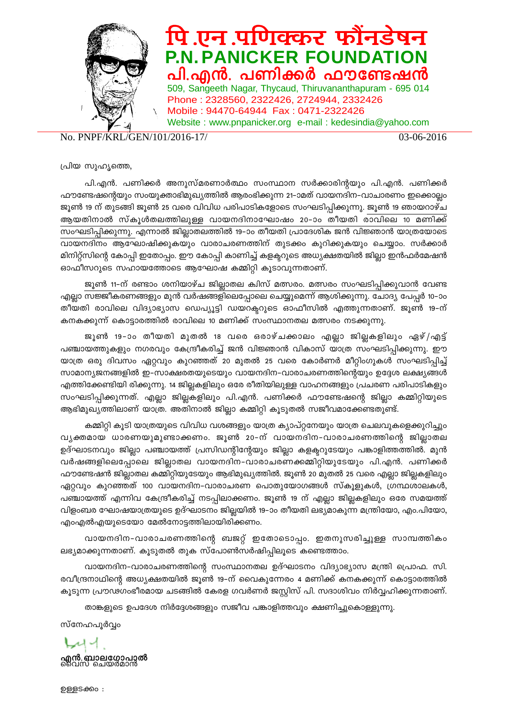

## पि एन पणिक्कर फौनडेषन **P.N. PANICKER FOUNDATION**<br>പി.എൻ. പണിക്കർ ഫൗണ്ടേഷൻ

509, Sangeeth Nagar, Thycaud, Thiruvananthapuram - 695 014 Phone : 2328560, 2322426, 2724944, 2332426 Mobile : 94470-64944 Fax : 0471-2322426 Website : www.pnpanicker.org e-mail : kedesindia@yahoo.com

No. PNPF/KRL/GEN/101/2016-17/ 03-06-2016

പ്രിയ സുഹൃത്തെ,

പി.എൻ. പണിക്കർ അനുസ്മരണാർത്ഥം സംസ്ഥാന സർക്കാരിന്റയും പി.എൻ. പണിക്കർ ഫൗണ്ടേഷന്റെയും സംയുക്താഭിമുഖ്യത്തിൽ ആരംഭിക്കുന്ന 21–ാമത് വായനദിന–വാചാരണം ഇക്കൊല്ലം ജൂൺ 19 ന് തുടങ്ങി ജൂൺ 25 വരെ വിവിധ പരിപാടികളോടെ സംഘടിപ്പിക്കുന്നു. ജൂൺ 19 ഞായറാഴ്ച ആയതിനാൽ സ്കൂൾതലത്തിലുള്ള വായനദിനാഘോഷം 20-ാം തീയതി രാവിലെ 10 മണിക്ക് സംഘടിപ്പിക്കുന്നു. എന്നാൽ ജില്ലാതലത്തിൽ 19–ാം തീയതി പ്രാദേശിക ജൻ വിജ്ഞാൻ യാത്രയോടെ വായനദിനം ആഘോഷിക്കുകയും വാരാചരണത്തിന് തുടക്കം കുറിക്കുകയും ചെയ്യാം. സർക്കാർ മിനിറ്റ്സിന്റെ കോപ്പി ഇതോപ്പം. ഈ കോപ്പി കാണിച്ച് കളക്ടറുടെ അധ്യക്ഷതയിൽ ജില്ലാ ഇൻഫർമേഷൻ ഓഫീസറുടെ സഹായത്തോടെ ആഘോഷ കമ്മിറ്റി കൂടാവുന്നതാണ്.

ജൂൺ 11−ന് രണ്ടാം ശനിയാഴ്ച ജില്ലാതല ക്വിസ് മത്സരം. മത്സരം സംഘടിപ്പിക്കുവാൻ വേണ്ട എല്ലാ സജ്ജീകരണങ്ങളും മുൻ വർഷങ്ങളിലെപ്പോലെ ചെയ്യുമെന്ന് ആശിക്കുന്നു. ചോദ്യ പേപ്പർ 10−ാം തീയതി രാവിലെ വിദ്യാഭ്യാസ ഡെപ്യൂട്ടി ഡയറക്ടറുടെ ഓഫീസിൽ എത്തുന്നതാണ്. ജൂൺ 19-ന് കനകക്കുന്ന് കൊട്ടാരത്തിൽ രാവിലെ 10 മണിക്ക് സംസ്ഥാനതല മത്സരം നടക്കുന്നു.

ജൂൺ 19-ാം തീയതി മുതൽ 18 വരെ ഒരാഴ്ചക്കാലം എല്ലാ ജില്ലകളിലും ഏഴ്/എട്ട് പഞ്ചായത്തുകളും നഗരവും കേന്ദ്രീകരിച്ച് ജൻ വിജ്ഞാൻ വികാസ് യാത്ര സംഘടിപ്പിക്കുന്നു. ഈ യാത്ര ഒരു ദിവസം ഏറ്റവും കുറഞ്ഞത് 20 മുതൽ 25 വരെ കോർണർ മീറ്റിംഗുകൾ സംഘടിപ്പിച്ച് സാമാന്യജനങ്ങളിൽ ഇ–സാക്ഷരതയുടെയും വായനദിന–വാരാചരണത്തിന്റെയും ഉദ്ദേശ ലക്ഷ്യങ്ങൾ എത്തിക്കേണ്ടിയി രിക്കുന്നു. 14 ജില്ലകളിലും ഒരേ രീതിയിലുള്ള വാഹനങ്ങളും പ്രചരണ പരിപാടികളും സംഘടിപ്പിക്കുന്നത്. എല്ലാ ജില്ലകളിലും പി.എൻ. പണിക്കർ ഫൗണ്ടേഷന്റെ ജില്ലാ കമ്മിറ്റിയുടെ ആഭിമുഖ്യത്തിലാണ് യാത്ര. അതിനാൽ ജില്ലാ കമ്മിറ്റി കൂടുതൽ സജീവമാക്കേണ്ടതുണ്ട്.

കമ്മിറ്റി കൂടി യാത്രയുടെ വിവിധ വശങ്ങളും യാത്ര ക്യാപ്റ്റനേയും യാത്ര ചെലവുകളെക്കുറിച്ചും വൃക്തമായ ധാരണയുമുണ്ടാക്കണം. ജൂൺ 20−ന് വായനദിന-വാരാചരണത്തിന്റെ ജില്ലാതല ഉദ്ഘാടനവും ജില്ലാ പഞ്ചായത്ത് പ്രസിഡന്റിന്റേയും ജില്ലാ കളക്ടറുടേയും പങ്കാളിത്തത്തിൽ. മുൻ വർഷങ്ങളിലെപ്പോലെ ജില്ലാതല വായനദിന-വാരാചരണക്കമ്മിറ്റിയുടേയും പി.എൻ. പണിക്കർ ഹൗണ്ടേഷൻ ജില്ലാതല കമ്മിറ്റിയുടേയും ആഭിമുഖ്യത്തിൽ. ജൂൺ 20 മുതൽ 25 വരെ എല്ലാ ജില്ലകളിലും ഏറ്റവും കുറഞ്ഞത് 100 വായനദിന–വാരാചരണ പൊതുയോഗങ്ങൾ സ്കൂളുകൾ, ഗ്രന്ഥശാലകൾ, പഞ്ചായത്ത് എന്നിവ കേന്ദ്രീകരിച്ച് നടപ്പിലാക്കണം. ജൂൺ 19 ന് എല്ലാ ജില്ലകളിലും ഒരേ സമയത്ത് വിളംബര ഘോഷയാത്രയുടെ ഉദ്ഘാടനം ജില്ലയിൽ 19–ാം തീയതി ലഭ്യമാകുന്ന മന്ത്രിയോ, എം.പിയോ, എംഎൽഎയുടെയോ മേൽനോട്ടത്തിലായിരിക്കണം.

വായനദിന-വാരാചരണത്തിന്റെ ബജറ്റ് ഇതോടൊപ്പം. ഇതനുസരിച്ചുള്ള സാമ്പത്തികം ലഭ്യമാക്കുന്നതാണ്. കൂടുതൽ തുക സ്പോൺസർഷിപ്പിലൂടെ കണ്ടെത്താം.

വായനദിന-വാരാചരണത്തിന്റെ സംസ്ഥാനതല ഉദ്ഘാടനം വിദ്യാഭ്യാസ മന്ത്രി പ്രൊഫ. സി. രവീന്ദ്രനാഥിന്റെ അധ്യക്ഷതയിൽ ജൂൺ 19−ന് വൈകുന്നേരം 4 മണിക്ക് കനകക്കുന്ന് കൊട്ടാരത്തിൽ കൂടുന്ന പ്രൗഢഗംഭീരമായ ചടങ്ങിൽ കേരള ഗവർണർ ജസ്റ്റിസ് പി. സദാശിവം നിർവ്വഹിക്കുന്നതാണ്.

താങ്കളുടെ ഉപദേശ നിർദ്ദേശങ്ങളും സജീവ പങ്കാളിത്തവും ക്ഷണിച്ചുകൊള്ളുന്നു.

സ്നേഹപുർവ്വം

レオイ **എൻ. ബാലഗോപാൽ**<br>വൈസ് ചെയർമാൻ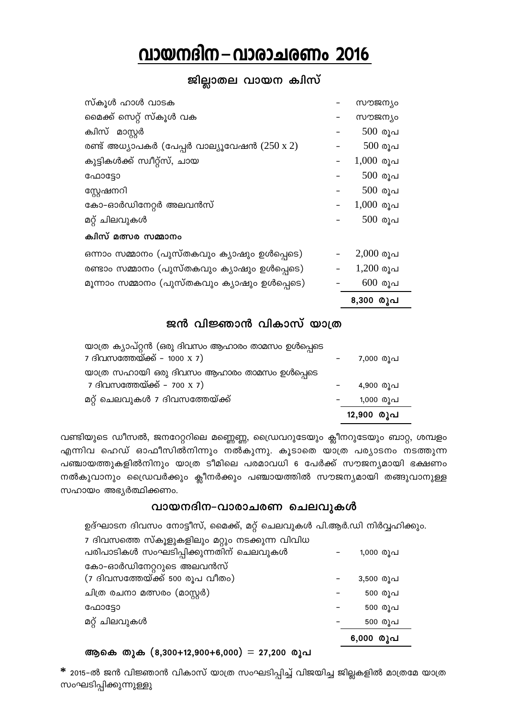## വായനദിന – വാരാചര<u>ണം</u> 2016

#### ജില്ലാതല വായന ക**ി**സ്

| സ്കൂൾ ഹാൾ വാടക                                     | ൜൚ജന്യം     |
|----------------------------------------------------|-------------|
| മൈക്ക് സെറ്റ് സ്കൂൾ വക                             | ൜൚ജന്യം     |
| ക്വിസ് മാസ്റ്റർ                                    | $500$ രൂപ   |
| രണ്ട് അധ്യാപകർ (പേപ്പർ വാല്യൂവേഷൻ $(250 \times 2)$ | $500$ രൂപ   |
| കുട്ടികൾക്ക് സ്വീറ്റ്സ്, ചായ                       | $1,000$ രൂപ |
| ഫോട്ടോ                                             | $500$ രൂപ   |
| സ്റ്റേഷനറി                                         | $500$ രൂപ   |
| കോ-ഓർഡിനേറ്റർ അലവൻസ്                               | $1,000$ രൂപ |
| മറ്റ് ചിലവുകൾ                                      | $500$ രൂപ   |
| ക്വിസ് മത്സര സമ്മാനം                               |             |
| ഒന്നാം സമ്മാനം (പുസ്തകവും ക്യാഷും ഉൾപ്പെടെ)        | $2,000$ രൂപ |
| രണ്ടാം സമ്മാനം (പുസ്തകവും ക്യാഷും ഉൾപ്പെടെ)        | $1,200$ രൂപ |
| മൂന്നാം സമ്മാനം (പുസ്തകവും ക്യാഷും ഉൾപ്പെടെ)       | $600$ രൂപ   |
|                                                    | 8,300 രൂപ   |

#### ജൻ വിജ്ഞാൻ വികാസ് യാത്ര

| യാത്ര ക്യാപ്റ്റൻ (ഒരു ദിവസം ആഹാരം താമസം ഉൾപ്പെടെ |            |
|--------------------------------------------------|------------|
| 7 ദിവസത്തേയ്ക്ക് – 1000 x 7)                     | 7,000 രൂപ  |
| യാത്ര സഹായി ഒരു ദിവസം ആഹാരം താമസം ഉൾപ്പെടെ       |            |
| 7 ദിവസത്തേയ്ക്ക് – 700 x 7)                      | 4,900 രൂപ  |
| മറ്റ് ചെലവുകൾ 7 ദിവസത്തേയ്ക്ക്                   | 1,000 രൂപ  |
|                                                  | 12,900 രൂപ |

വണ്ടിയുടെ ഡീസൽ, ജനറേറ്ററിലെ മണ്ണെണ്ണ, ഡ്രൈവറുടേയും ക്ലീനറുടേയും ബാറ്റ, ശമ്പളം എന്നിവ ഹെഡ് ഓഫീസിൽനിന്നും നൽ്കുന്നു. കൂടാതെ യാത്ര പര്യാടനം നടത്തുന്ന പഞ്ചായത്തുകളിൽനിനും യാത്ര ടീമിലെ പരമാവധി 6 പേർക്ക് സൗജന്യമായി ഭക്ഷണം \ നൽകുവാനും ഡ്രൈവർക്കും ക്ലീനർക്കും പഞ്ചായത്തിൽ സൗജന്യമായി തങ്ങുവാനുള്ള സഹായം അഭൃർത്ഥിക്കണം.

#### **വായനദിന–വാരാചരണ ചെലവുകൾ**

ഉദ്ഘാടന ദിവസം നോട്ടീസ്, മൈക്ക്, മറ്റ് ചെലവുകൾ പി.ആർ.ഡി നിർവ്വഹിക്കും.

|                                                | 6,000 രൂപ |
|------------------------------------------------|-----------|
| മറ്റ് ചിലവുകൾ                                  | 500 രൂപ   |
| ഫോട്ടോ                                         | 500 രൂപ   |
| ചിത്ര രചനാ മത്സരം (മാസ്റ്റർ)                   | 500 രൂപ   |
| (7 ദിവസത്തേയ്ക്ക് 500 രൂപ വീതം)                | 3,500 രൂപ |
| കോ-ഓർഡിനേറ്ററുടെ അലവൻസ്                        |           |
| പരിപാടികൾ സംഘടിപ്പിക്കുന്നതിന് ചെലവുകൾ         | 1,000 രൂപ |
| 7 ദിവസത്തെ സ്കൂളുകളിലും മറ്റും നടക്കുന്ന വിവിധ |           |

#### **BsI XpI (8,300+12,900+6,000)** = **27,200 cq] -**

 $\,$ \* 2015-ൽ ജൻ വിജ്ഞാൻ വികാസ് യാത്ര സംഘടിപ്പിച്ച് വിജയിച്ച ജില്ലകളിൽ മാത്രമേ യാത്ര സംഘടിപ്പിക്കുന്നുള്ളു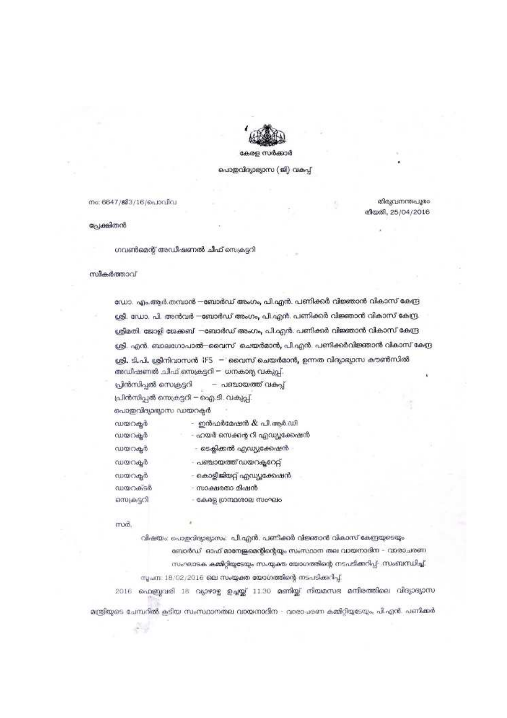

#### കേരള സർക്കാർ

#### പൊതുവിദ്യാഭ്യാസ (ജി) വകപ്പ്

നം: 6647/ജി3/16/പൊവിവ

തിരുവനന്തപുരം തീയതി, 25/04/2016

പ്രേക്ഷിതൻ

ഗവൺമെന്റ് അഡീഷണൽ ചീഫ് സെക്രടറി

#### സികർത്താവ്

ഡോ. എം.ആർ.തമ്പാൻ —ബോർഡ് അംഗം, പി.എൻ. പണിക്കർ വിജ്ഞാൻ വികാസ് കേന്ദ്ര ശ്രീ. ഡോ. പി. അൻവർ —ബോർഡ് അംഗം, പി.എൻ. പണിക്കർ വിജ്ഞാൻ വികാസ് കേന്ദ്ര ശ്രീമതി. ജോളി ജേക്കബ് —ബോർഡ് അംഗം, പി.എൻ. പണിക്കർ വിജ്ഞാൻ വികാസ് കേന്ദ്ര ശ്രീ. എൻ. ബാലഗോപാൽ—വൈസ് ചെയർമാൻ, പി.എൻ. പണിക്കർവിജ്ഞാൻ വികാസ് കേന്ദ്ര ശ്രീ. ടി.പി. ശ്രീനിവാസൻ IFS — റൈസ് ചെയർമാൻ, ഉന്നത വിദ്യാഭ്യാസ കൗൺസിൽ അഡീഷണൽ ചീഫ് സെക്രട്ടറി — ധനകാര്യ വകുപ്പ്.

– പഞ്ചായത്ത് വകപ്പ് പ്രീൻസിപ്പൽ സെക്രട്ടറി

പ്രിൻസിപ്പൽ സെക്രട്ടറി – ഐ.ടി. വകുപ്പ്

പൊതുവിദ്യാഭ്യാസ ഡയറക്ടർ

| ഡയറകർ      | ഇൻഫർമേഷൻ & പി.ആർ.ഡി.          |
|------------|-------------------------------|
| ഡയറകൂർ     | – ഹയർ സെക്കൻ്റ റി എഡ്യൂക്കേഷൻ |
| ഡയറകർ      | ടെക്ലിക്കൽ എഡ്യുക്കേഷൻ        |
| ഡയറകൂർ     | പഞ്ചായത്ത് ഡയറക്ലറേറ്റ്       |
| ഡയറകുർ     | കൊളീജിയറ്റ് എഡ്യൂക്കേഷൻ       |
| ഡയറക്ടർ    | – സാക്ഷരതാ മിഷൻ               |
| സെക്രട്ടറി | കേരള ഗ്രന്ഥശാല സംഘം           |

സർ.

വിഷയം: പൊളവിദ്യാഭ്യാസം: പി.എൻ. പണിക്കർ വിജ്ഞാൻ വികാസ് കേന്ദ്രയുടെയും

ബോർഡ് ഓഫ് <mark>ഓനേജ്രമെന്റിന്റെ</mark>യും സംസ്ഥാന തല വായനാദിന - വാരാചരണ സംഘാടക കമ്മിറ്റിയുടേയും സംയ്യക്ത യോഗത്തിന്റെ നടപടിക്കറിപ്പ്- സംബന്ധിച്ച്, സൂചന: 18/02/2016 ലെ സംയ്യക്ത യോഗത്തിന്റെ നടപടിക്കറിപ്പ്.

2016 ഫെബ്രുവരി 18 വ്യാഴാഴ്ച ഉച്ചയ്യ് 11.30 മണിയ്യ് നിയമസഭ മന്ദിരത്തിലെ വിദ്യാഭ്യാസ മന്ത്രിയുടെ ചേമ്പറിൽ കടിയ സംസ്ഥാനതല വായനാദിന - വാരാചരണ കമ്മിറ്റിയുടേയും, പി.എൻ. പണ്ടിക്കർ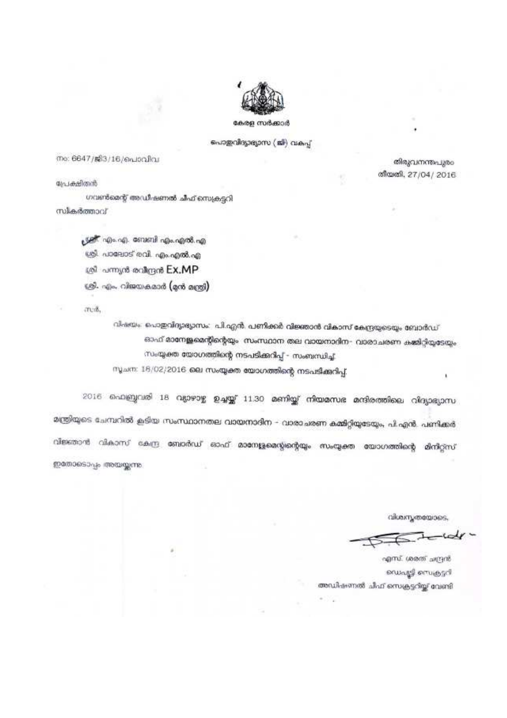

കേരള സർക്കാർ

പൊതുവിദ്യാഭ്യാസ (ജി) വകപ്പ്

നം: 6647/ജി3/16/പൊവിവ

പേക്ഷിതൻ

ഗവൺമെന്റ് അഡിഷണൽ ചീഫ് സെക്രട്ടറി സികർത്താവ്

> പ്രശ്നീ എം.എ. ബേബി എം.എൽ.എ ശ്രീ. പാലോട് രവി. എം.എൽ.എ ശ്രീ പന്ന്യൻ രവീന്ദ്രൻ Ex.MP ശ്രീ. എം. വിജയകമാർ (മൻ മന്ത്രി)

area.

വിഷയം. പൊതുവിദ്യാഭ്യാസം: പി.എൻ. പണിക്കർ വിജ്ഞാൻ വികാസ് കേന്ദ്രയുടെയും ബോർഡ് ഓഫ് മാനേജ്ജമെന്റിന്റെയും. സംസ്ഥാന തല വായനാദിന– വാരാചരണ കമ്മിറ്റിയുടേയും സംയ്യക്ത യോഗത്തിന്റെ നടപടിക്കറിപ്പ് - സംബന്ധിച്ച്

സൂചന: 18/02/2016 ലെ സംയ്യക്ത യോഗത്തിന്റെ നടപടിക്കുറിപ്പ്,

2016 ഫെബ്രുവരി 18 വ്യാഴാഴ്ച ഉച്ചയ്ക്ക് 11.30 മണിയ്ക്ക് നിയമസഭ മന്ദിരത്തിലെ വിദ്യാഭ്യാസ മന്ത്രിയുടെ ചേമ്പറിൽ കൂടിയ സംസ്ഥാനതല വായനാദിന – വാരാചരണ കമ്മിറ്റിയുടേയും, പി.എൻ. പണിക്കർ വിജ്ഞാൻ വികാസ് കേന്ദ്ര ബോർഡ് ഓഫ് മാനേള്ളമെയ്യന്റെയും സംയ്യക്ത യോഗത്തിന്റെ മിനിറ്റ്സ് ഇതോടൊപ്പം അയയുന്നു.

വിശ്ചസ്തത്തോടെ.

തിരുവനന്തപുരം തീയതി, 27/04/2016

എസ്. ശരത് ചന്ദ്രൻ ഡെപ്പൂട്ടി സെക്രട്ടറി അഡിഷണൽ ചിഫ് സെക്രട്ടറിയ്ല് വേണ്ടി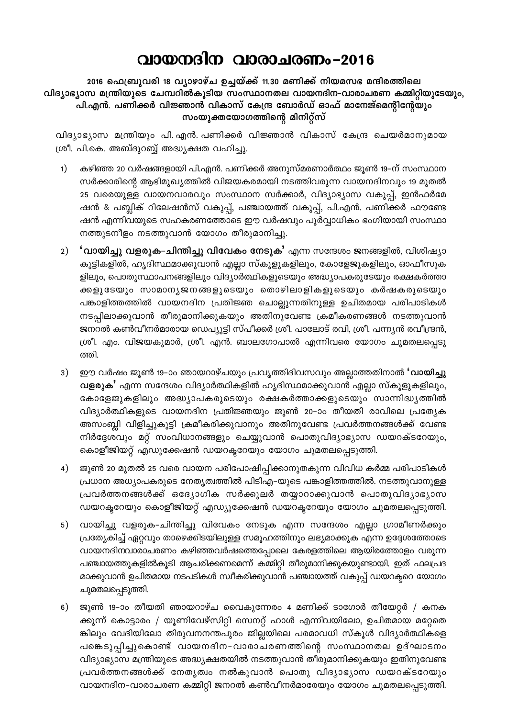### വായനദിന വാരാചരണം-2016

2016 ഫെബ്രുവരി 18 വ്യാഴാഴ്ച ഉച്ചയ്ക്ക് 11.30 മണിക്ക് നിയമസഭ മന്ദിരത്തിലെ വിദ്യാഭ്യാസ മന്ത്രിയുടെ ചേമ്പറിൽകൂടിയ സംസ്ഥാനതല വായനദിന–വാരാചരണ കമ്മിറ്റിയുടേയും, പി.എൻ. പണിക്കർ വിജ്ഞാൻ വികാസ് കേന്ദ്ര ബോർഡ് ഓഫ് മാനേജ്മെന്റിന്റേയും സംയുക്തയോഗത്തിന്റെ മിനിറ്റ്സ്

വിദ്യാഭ്യാസ മന്ത്രിയും പി. എൻ. പണിക്കർ വിജ്ഞാൻ വികാസ് കേന്ദ്ര ചെയർമാനുമായ ശ്രീ. പി.കെ. അബ്ദുറബ്ബ് അദ്ധ്യക്ഷത വഹിച്ചു.

- കഴിഞ്ഞ 20 വർഷങ്ങളായി പി.എൻ. പണിക്കർ അനുസ്മരണാർത്ഥം ജൂൺ 19–ന് സംസ്ഥാന  $1)$ സർക്കാരിന്റെ ആഭിമുഖ്യത്തിൽ വിജയകരമായി നടത്തിവരുന്ന വായനദിനവും 19 മുതൽ 25 വരെയുള്ള വായനവാരവും സംസ്ഥാന സർക്കാർ, വിദ്യാഭ്യാസ വകുപ്പ്, ഇൻഫർമേ ഷൻ & പബ്ലിക് റിലേഷൻസ് വകുപ്പ്, പഞ്ചായത്ത് വകുപ്പ്, പി.എൻ. പണിക്കർ ഫൗണ്ടേ ഷൻ എന്നിവയുടെ സഹകരണത്തോടെ ഈ വർഷവും പൂർവ്വാധികം ഭംഗിയായി സംസ്ഥാ നത്തുടനീളം നടത്തുവാൻ യോഗം തീരുമാനിച്ചു.
- 2) **' വായിച്ചു വളരുക–ചിന്തിച്ചു വിവേകം നേടുക'** എന്ന സന്ദേശം ജനങ്ങളിൽ, വിശിഷ്യാ കുട്ടികളിൽ, ഹൃദിസ്ഥമാക്കുവാൻ എല്ലാ സ്കൂളുകളിലും, കോളേജുകളിലും, ഓഫീസുക ളിലും, പൊതുസ്ഥാപനങ്ങളിലും വിദ്യാർത്ഥികളുടെയും അദ്ധ്യാപകരുടേയും രക്ഷകർത്താ ക്കളുടേയും സാമാനൃജനങ്ങളുടെയും തൊഴിലാളികളുടെയും കർഷകരുടെയും പങ്കാളിത്തത്തിൽ വായനദിന പ്രതിജ്ഞ ചൊല്ലുന്നതിനുള്ള ഉചിതമായ പരിപാടികൾ നടപ്പിലാക്കുവാൻ തീരുമാനിക്കുകയും അതിനുവേണ്ട ക്രമീകരണങ്ങൾ നടത്തുവാൻ ജനറൽ കൺവീനർമാരായ ഡെപ്യൂട്ടി സ്പീക്കർ ശ്രീ. പാലോട് രവി, ശ്രീ. പന്ന്യൻ രവീന്ദ്രൻ, ശ്രീ. എം. വിജയകുമാർ, ശ്രീ. എൻ. ബാലഗോപാൽ എന്നിവരെ യോഗം ചുമതലപ്പെടു ത്തി.
- $3)$ ഈ വർഷം ജൂൺ 19-ാം ഞായറാഴ്ചയും പ്രവൃത്തിദിവസവും അല്ലാത്തതിനാൽ **'വായിച്ചു** വളരുക' എന്ന സന്ദേശം വിദ്യാർത്ഥികളിൽ ഹൃദിസ്ഥമാക്കുവാൻ എല്ലാ സ്കൂളുകളിലും, കോളേജുകളിലും അദ്ധ്യാപകരുടെയും രക്ഷകർത്താക്കളുടെയും സാന്നിദ്ധ്യത്തിൽ വിദ്യാർത്ഥികളുടെ വായനദിന പ്രതിജ്ഞയും ജൂൺ 20-ാം തീയതി രാവിലെ പ്രത്യേക അസംബ്ലി വിളിച്ചുകൂട്ടി ക്രമീകരിക്കുവാനും അതിനുവേണ്ട പ്രവർത്തനങ്ങൾക്ക് വേണ്ട നിർദ്ദേശവും മറ്റ് സംവിധാനങ്ങളും ചെയ്യുവാൻ പൊതുവിദ്യാഭ്യാസ ഡയറക്ടറേയും, കൊളീജിയറ്റ് എഡൂക്കേഷൻ ഡയറക്ടറേയും യോഗം ചുമതലപ്പെടുത്തി.
- ജൂൺ 20 മുതൽ 25 വരെ വായന പരിപോഷിപ്പിക്കാനുതകുന്ന വിവിധ കർമ്മ പരിപാടികൾ 4) പ്രധാന അധ്യാപകരുടെ നേതൃത്വത്തിൽ പിടിഎ–യുടെ പങ്കാളിത്തത്തിൽ. നടത്തുവാനുള്ള പ്രവർത്തനങ്ങൾക്ക് ഒദ്യോഗിക സർക്കുലർ തയ്യാറാക്കുവാൻ പൊതുവിദ്യാഭ്യാസ ഡയറക്ടറേയും കൊളീജിയറ്റ് എഡ്യൂക്കേഷൻ ഡയറക്ടറേയും യോഗം ചുമതലപ്പെടുത്തി.
- വായിച്ചു വളരുക-ചിന്തിച്ചു വിവേകം നേടുക എന്ന സന്ദേശം എല്ലാ ഗ്രാമീണർക്കും  $5)$ പ്രത്യേകിച്ച് ഏറ്റവും താഴെക്കിടയിലുള്ള സമൂഹത്തിനും ലഭ്യമാക്കുക എന്ന ഉദ്ദേശത്തോടെ വായനദിനവാരാചരണം കഴിഞ്ഞവർഷത്തെപ്പോലെ കേരളത്തിലെ ആയിരത്തോളം വരുന്ന പഞ്ചായത്തുകളിൽകൂടി ആചരിക്കണമെന്ന് കമ്മിറ്റി തീരുമാനിക്കുകയുണ്ടായി. ഇത് ഫലപ്രദ മാക്കുവാൻ ഉചിതമായ നടപടികൾ സ്ഥീകരിക്കുവാൻ പഞ്ചായത്ത് വകുപ്പ് ഡയറക്ടറെ യോഗം ചുമതലപ്പെടുത്തി.
- 6) ജൂൺ 19-ാം തീയതി ഞായറാഴ്ച വൈകുന്നേരം 4 മണിക്ക് ടാഗോർ തീയേറ്റർ / കനക ക്കുന്ന് കൊട്ടാരം / യൂണിവേഴ്സിറ്റി സെനറ്റ് ഹാൾ എന്നിവയിലോ, ഉചിതമായ മറ്റേതെ ങ്കിലും വേദിയിലോ തിരുവനനന്തപുരം ജില്ലയിലെ പരമാവധി സ്കൂൾ വിദ്യാർത്ഥികളെ പങ്കെടുപ്പിച്ചുകൊണ്ട് വായനദിന-വാരാചരണത്തിന്റെ സംസ്ഥാനതല ഉദ്ഘാടനം വിദ്യാഭ്യാസ മന്ത്രിയുടെ അദ്ധ്യക്ഷതയിൽ നടത്തുവാൻ തീരുമാനിക്കുകയും ഇതിനുവേണ്ട പ്രവർത്തനങ്ങൾക്ക് നേതൃത്വം നൽകുവാൻ പൊതു വിദ്യാഭ്യാസ ഡയറക്ടറേയും വായനദിന-വാരാചരണ കമ്മിറ്റി ജനറൽ കൺവീനർമാരേയും യോഗം ചുമതലപ്പെടുത്തി.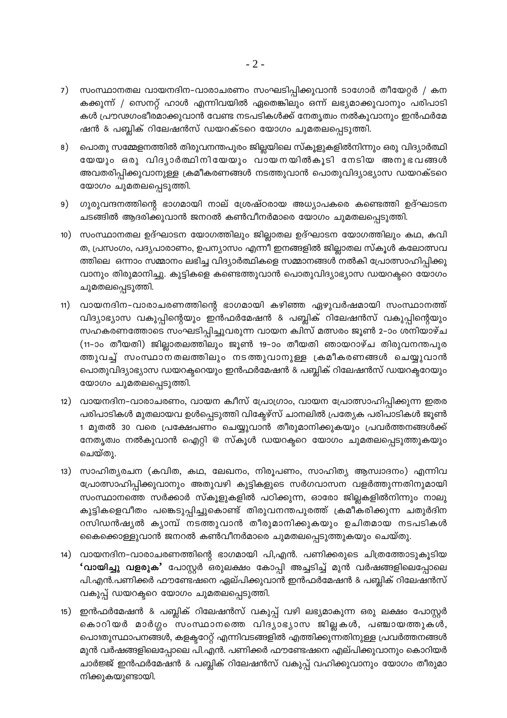- 7) സംസ്ഥാനതല വായനദിന–വാരാചരണം സംഘടിപ്പിക്കുവാൻ ടാഗോർ തീയേറ്റർ / കന കക്കുന്ന് / സെനറ്റ് ഹാൾ എന്നിവയിൽ ഏതെങ്കിലും ഒന്ന് ലഭ്യമാക്കുവാനും പരിപാടി കൾ പ്രൗഢഗംഭീരമാക്കുവാൻ വേണ്ട നടപടികൾക്ക് നേതൃത്വം നൽകുവാനും ഇൻഫർമേ ഷൻ & പബ്ലിക് റിലേഷൻസ് ഡയറക്ടറെ യോഗം ചുമതലപ്പെടുത്തി.
- 8) പൊതു സമ്മേളനത്തിൽ തിരുവനന്തപുരം ജില്ലയിലെ സ്കൂളുകളിൽനിന്നും ഒരു വിദ്യാർത്ഥി യേയും ഒരു വിദ്യാർത്ഥിനിയേയും വായനയിൽകൂടി നേടിയ അനുഭവങ്ങൾ അവതരിപ്പിക്കുവാനുള്ള ക്രമീകരണങ്ങൾ നടത്തുവാൻ പൊതുവിദ്യാഭ്യാസ ഡയറക്ടറെ യോഗം ചുമതലപ്പെടുത്തി.
- 9) ഗുരുവന്ദനത്തിന്റെ ഭാഗമായി നാല് ശ്രേഷ്ഠരായ അധ്യാപകരെ കണ്ടെത്തി ഉദ്ഘാടന ചടങ്ങിൽ ആദരിക്കുവാൻ ജനറൽ കൺവീനർമാരെ യോഗം ചുമതലപ്പെടുത്തി.
- 10) സംസ്ഥാനതല ഉദ്ഘാടന യോഗത്തിലും ജില്ലാതല ഉദ്ഘാടന യോഗത്തിലും കഥ, കവി ത, പ്രസംഗം, പദൃപാരാണം, ഉപന്യാസം എന്നീ ഇനങ്ങളിൽ ജില്ലാതല സ്കൂൾ കലോത്സവ ത്തിലെ ഒന്നാം സമ്മാനം ലഭിച്ച വിദ്യാർത്ഥികളെ സമ്മാനങ്ങൾ നൽകി പ്രോത്സാഹിപ്പിക്കു വാനും തിരുമാനിച്ചു. കുട്ടികളെ കണ്ടെത്തുവാൻ പൊതുവിദ്യാഭ്യാസ ഡയറക്ടറെ യോഗം ചുമതലപ്പെടുത്തി.
- 11) വായനദിന–വാരാചരണത്തിന്റെ ഭാഗമായി കഴിഞ്ഞ ഏഴുവർഷമായി സംസ്ഥാനത്ത് വിദ്യാഭ്യാസ വകുപ്പിന്റെയും ഇൻഫർമേഷൻ & പബ്ലിക് റിലേഷൻസ് വകുപ്പിന്റെയും സഹകരണത്തോടെ സംഘടിപ്പിച്ചുവരുന്ന വായന ക്വിസ് മത്സരം ജൂൺ 2–ാം ശനിയാഴ്ച (11-ാം തീയതി) ജില്ലാതലത്തിലും ജൂൺ 19-ാം തീയതി ഞായറാഴ്ച തിരുവനന്തപുര ത്തുവച്ച് സംസ്ഥാനതലത്തിലും നടത്തുവാനുള്ള ക്രമീകരണങ്ങൾ ചെയ്യുവാൻ പൊതുവിദ്യാഭ്യാസ ഡയറക്ടറെയും ഇൻഫർമേഷൻ & പബ്ലിക് റിലേഷൻസ് ഡയറക്ടറേയും യോഗം ചുമതലപ്പെടുത്തി.
- 12) വായനദിന–വാരാചരണം, വായന ക്വീസ് പ്രോഗ്രാം, വായന പ്രോത്സാഹിപ്പിക്കുന്ന ഇതര പരിപാടികൾ മുതലായവ ഉൾപ്പെടുത്തി വികേഴ്സ് ചാനലിൽ പ്രത്യേക പരിപാടികൾ ജൂൺ 1 മുതൽ 30 വരെ പ്രക്ഷേപണം ചെയ്യുവാൻ തീരുമാനിക്കുകയും പ്രവർത്തനങ്ങൾക്ക് നേതൃത്വം നൽകുവാൻ ഐറ്റി @ സ്കൂൾ ഡയറക്ടറെ യോഗം ചുമതലപ്പെടുത്തുകയും ചെയ്തു.
- 13) സാഹിത്യരചന (കവിത, കഥ, ലേഖനം, നിരൂപണം, സാഹിത്യ ആസ്വാദനം) എന്നിവ പ്രോത്സാഹിപ്പിക്കുവാനും അതുവഴി കുട്ടികളുടെ സർഗവാസന വളർത്തുന്നതിനുമായി സംസ്ഥാനത്തെ സർക്കാർ സ്കൂളുകളിൽ പഠിക്കുന്ന, ഓരോ ജില്ലകളിൽനിന്നും നാലു കുട്ടികളെവീതം പങ്കെടുപ്പിച്ചുകൊണ്ട് തിരുവനന്തപുരത്ത് ക്രമീകരിക്കുന്ന ചതുർദിന റസിഡൻഷ്യൽ ക്യാമ്പ് നടത്തുവാൻ തീരുമാനിക്കുകയും ഉചിതമായ നടപടികൾ കൈക്കൊള്ളുവാൻ ജനറൽ കൺവീനർമാരെ ചുമതലപ്പെടുത്തുകയും ചെയ്തു.
- 14) വായനദിന–വാരാചരണത്തിന്റെ ഭാഗമായി പി,എൻ. പണിക്കരുടെ ചിത്രത്തോടുകൂടിയ **'വായിച്ചു വളരുക'** പോസ്റ്റർ ഒരുലക്ഷം കോപ്പി അച്ചടിച്ച് മുൻ വർഷങ്ങളിലെപ്പോലെ പി.എൻ.പണിക്കർ ഫൗണ്ടേഷനെ ഏല്പിക്കുവാൻ ഇൻഫർമേഷൻ & പബ്ലിക് റിലേഷൻസ് വകുപ്പ് ഡയറക്ടറെ യോഗം ചുമതലപ്പെടുത്തി.
- 15) ഇൻഫർമേഷൻ & പബ്ലിക് റിലേഷൻസ് വകുപ്പ് വഴി ലഭ്യമാകുന്ന ഒരു ലക്ഷം പോസ്റ്റർ കൊറിയർ മാർഗ്ഗം സംസ്ഥാനത്തെ വിദ്യാഭ്യാസ ജില്ലകൾ, പഞ്ചായത്തുകൾ, പൊ1തുസ്ഥാപനങ്ങൾ, കളക്ടറേറ്റ് എന്നിവടങ്ങളിൽ എത്തിക്കുന്നതിനുള്ള പ്രവർത്തനങ്ങൾ മുൻ വർഷങ്ങളിലെപ്പോലെ പി.എൻ. പണിക്കർ ഫൗണ്ടേഷനെ എല്പിക്കുവാനും കൊറിയർ ചാർജ്ജ് ഇൻഫർമേഷൻ & പബ്ലിക് റിലേഷൻസ് വകുപ്പ് വഹിക്കുവാനും യോഗം തീരുമാ നിക്കുകയുണ്ടായി.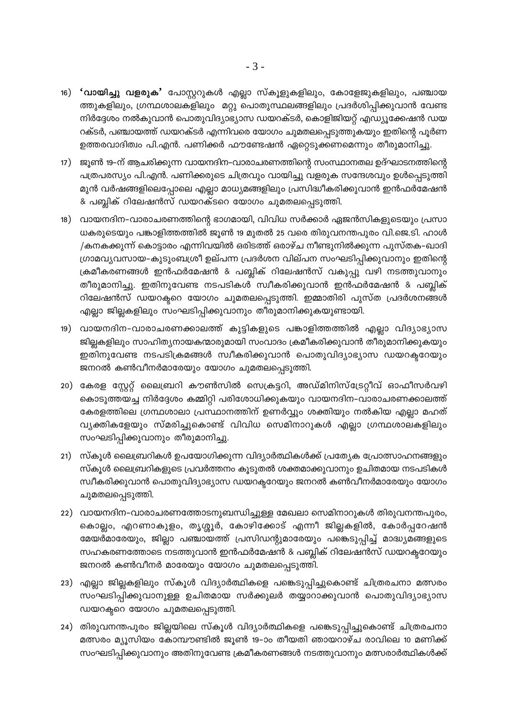- 16) 'വായിച്ചു വളരുക' പോസ്റ്ററുകൾ എല്ലാ സ്കൂളുകളിലും, കോളേജുകളിലും, പഞ്ചായ ത്തുകളിലും, ഗ്രന്ഥശാലകളിലും മറ്റു പൊതുസ്ഥലങ്ങളിലും പ്രദർശിപ്പിക്കുവാൻ വേണ്ട നിർദ്ദേശം നൽകുവാൻ പൊതുവിദ്യാഭ്യാസ ഡയറക്ടർ, കൊളിജിയറ്റ് എഡ്യൂക്കേഷൻ ഡയ റക്ടർ, പഞ്ചായത്ത് ഡയറക്ടർ എന്നിവരെ യോഗം ചുമതലപ്പെടുത്തുകയും ഇതിന്റെ പൂർണ ഉത്തരവാദിത്വം പി.എൻ. പണിക്കർ ഫൗണ്ടേഷൻ ഏറ്റെടുക്കണമെന്നും തീരുമാനിച്ചു.
- 17) ജൂൺ 19–ന് ആചരിക്കുന്ന വായനദിന–വാരാചരണത്തിന്റെ സംസ്ഥാനതല ഉദ്ഘാടനത്തിന്റെ പത്രപരസ്യം പി.എൻ. പണിക്കരുടെ ചിത്രവും വായിച്ചു വളരുക സന്ദേശവും ഉൾപ്പെടുത്തി മുൻ വർഷങ്ങളിലെപ്പോലെ എല്ലാ മാധ്യമങ്ങളിലും പ്രസിദ്ധീകരിക്കുവാൻ ഇൻഫർമേഷൻ & പബ്ലിക് റിലേഷൻസ് ഡയറക്ടറെ യോഗം ചുമതലപ്പെടുത്തി.
- 18) വായനദിന-വാരാചരണത്തിന്റെ ഭാഗമായി, വിവിധ സർക്കാർ ഏജൻസികളുടെയും പ്രസാ ധകരുടെയും പങ്കാളിത്തത്തിൽ ജൂൺ 19 മുതൽ 25 വരെ തിരുവനന്തപുരം വി.ജെ.ടി. ഹാൾ /കനകക്കുന്ന് കൊട്ടാരം എന്നിവയിൽ ഒരിടത്ത് ഒരാഴ്ച നീണ്ടുനിൽക്കുന്ന പുസ്തക-ഖാദി ഗ്രാമവ്യവസായ–കുടുംബശ്രീ ഉല്പന്ന പ്രദർശന വില്പന സംഘടിപ്പിക്കുവാനും ഇതിന്റെ ക്രമീകരണങ്ങൾ ഇൻഫർമേഷൻ & പബ്ലിക് റിലേഷൻസ് വകുപ്പു വഴി നടത്തുവാനും തീരുമാനിച്ചു. ഇതിനുവേണ്ട നടപടികൾ സ്വീകരിക്കുവാൻ ഇൻഫർമേഷൻ & പബ്ലിക് റിലേഷൻസ് ഡയറക്ടറെ യോഗം ചുമതലപ്പെടുത്തി. ഇമ്മാതിരി പുസ്ത പ്രദർശനങ്ങൾ എല്ലാ ജില്ലകളിലും സംഘടിപ്പിക്കുവാനും തീരുമാനിക്കുകയുണ്ടായി.
- 19) വായനദിന-വാരാചരണക്കാലത്ത് കുട്ടികളുടെ പങ്കാളിത്തത്തിൽ എല്ലാ വിദ്യാഭ്യാസ ജില്ലകളിലും സാഹിത്യനായകന്മാരുമായി സംവാദം ക്രമീകരിക്കുവാൻ തീരുമാനിക്കുകയും ഇതിനുവേണ്ട നടപടിക്രമങ്ങൾ സ്വീകരിക്കുവാൻ പൊതുവിദ്യാഭ്യാസ ഡയറക്ടറേയും ജനറൽ കൺവീനർമാരേയും യോഗം ചുമതലപ്പെടുത്തി.
- 20) കേരള സ്റ്റേറ്റ് ലൈബ്രറി കൗൺസിൽ സെക്രട്ടറി, അഡ്മിനിസ്ട്രേറ്റീവ് ഓഫീസർവഴി കൊടുത്തയച്ച നിർദ്ദേശം കമ്മിറ്റി പരിശോധിക്കുകയും വായനദിന–വാരാചരണക്കാലത്ത് കേരളത്തിലെ ഗ്രന്ഥശാലാ പ്രസ്ഥാനത്തിന് ഉണർവ്വും ശക്തിയും നൽകിയ എല്ലാ മഹത് വ്യക്തികളേയും സ്മരിച്ചുകൊണ്ട് വിവിധ സെമിനാറുകൾ എല്ലാ ഗ്രന്ഥശാലകളിലും സംഘടിപ്പിക്കുവാനും തീരുമാനിച്ചു.
- 21) സ്കൂൾ ലൈബ്രറികൾ ഉപയോഗിക്കുന്ന വിദ്യാർത്ഥികൾക്ക് പ്രത്യേക പ്രോത്സാഹനങ്ങളും സ്കൂൾ ലൈബ്രറികളുടെ പ്രവർത്തനം കൂടുതൽ ശക്തമാക്കുവാനും ഉചിതമായ നടപടികൾ സ്ഥീകരിക്കുവാൻ പൊതുവിദ്യാഭ്യാസ ഡയറക്ടറേയും ജനറൽ കൺവീനർമാരേയും യോഗം ചുമതലപ്പെടുത്തി.
- 22) വായനദിന–വാരാചരണത്തോടനുബന്ധിച്ചുള്ള മേഖലാ സെമിനാറുകൾ തിരുവനന്തപുരം, കൊല്ലം, എറണാകുളം, തൃശ്ശൂർ, കോഴിക്കോട് എന്നീ ജില്ലകളിൽ, കോർപ്പറേഷൻ മേയർമാരേയും, ജില്ലാ പഞ്ചായത്ത് പ്രസിഡന്റുമാരേയും പങ്കെടുപ്പിച്ച് മാദ്ധ്യമങ്ങളുടെ സഹകരണത്തോടെ നടത്തുവാൻ ഇൻഫർമേഷൻ & പബ്ലിക് റിലേഷൻസ് ഡയറക്ടറേയും ജനറൽ കൺവീനർ മാരേയും യോഗം ചുമതലപ്പെടുത്തി.
- 23) എല്ലാ ജില്ലകളിലും സ്കൂൾ വിദ്യാർത്ഥികളെ പങ്കെടുപ്പിച്ചുകൊണ്ട് ചിത്രരചനാ മത്സരം സംഘടിപ്പിക്കുവാനുള്ള ഉചിതമായ സർക്കുലർ തയ്യാറാക്കുവാൻ പൊതുവിദ്യാഭ്യാസ ഡയറക്ടറെ യോഗം ചുമതലപ്പെടുത്തി.
- 24) തിരുവനന്തപുരം ജില്ലയിലെ സ്കൂൾ വിദ്യാർത്ഥികളെ പങ്കെടുപ്പിച്ചുകൊണ്ട് ചിത്രരചനാ മത്സരം മ്യൂസിയം കോമ്പൗണ്ടിൽ ജൂൺ 19-ാം തീയതി ഞായറാഴ്ച രാവിലെ 10 മണിക്ക് സംഘടിപ്പിക്കുവാനും അതിനുവേണ്ട ക്രമീകരണങ്ങൾ നടത്തുവാനും മത്സരാർത്ഥികൾക്ക്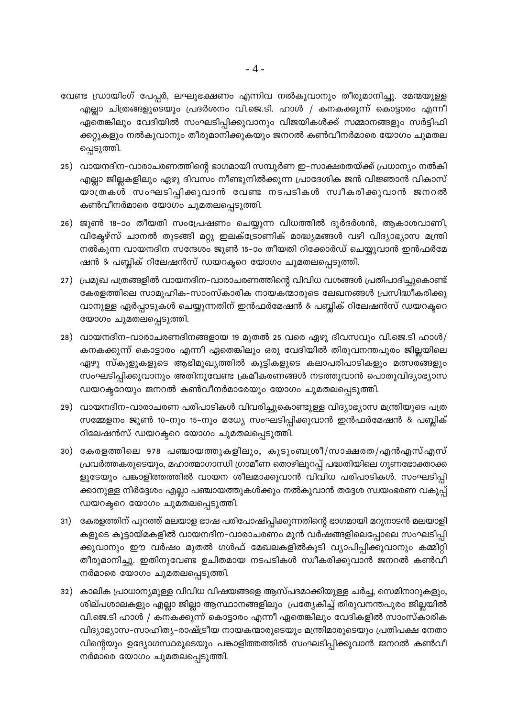- വേണ്ട ഡ്രായിംഗ് പേപ്പർ, ലഘുഭക്ഷണം എന്നിവ നൽകുവാനും തീരുമാനിച്ചു. മേന്മയുള്ള എല്ലാ ചിത്രങ്ങളുടെയും പ്രദർശനം വി.ജെ.ടി. ഹാൾ / കനകക്കുന്ന് കൊട്ടാരം എന്നീ ഏതെങ്കിലും വേദിയിൽ സംഘടിപ്പിക്കുവാനും വിജയികൾക്ക് സമ്മാനങ്ങളും സർട്ടിഫി ക്കറ്റുകളും നൽകുവാനും തീരുമാനിക്കുകയും ജനറൽ കൺവീനർമാരെ യോഗം ചുമതല പ്പെടുത്തി.
- 25) വായനദിന–വാരാചരണത്തിന്റെ ഭാഗമായി സമ്പൂർണ ഇ–സാക്ഷരതയ്ക്ക് പ്രധാന്യം നൽകി എല്ലാ ജില്ലകളിലും ഏഴു ദിവസം നീണ്ടുനിൽക്കുന്ന പ്രാദേശിക ജൻ വിജ്ഞാൻ വികാസ് യാത്രകൾ സംഘടിപ്പിക്കുവാൻ വേണ്ട നടപടികൾ സ്വീകരിക്കുവാൻ ജനറൽ കൺവീനർമാരെ യോഗം ചുമതലപ്പെടുത്തി.
- 26) ജൂൺ 18-ാം തീയതി സംപ്രേഷണം ചെയ്യുന്ന വിധത്തിൽ ദൂർദർശൻ, ആകാശവാണി, വിക്ടേഴ്സ് ചാനൽ തുടങ്ങി മറ്റു ഇലക്ട്രോണിക് മാദ്ധ്യമങ്ങൾ വഴി വിദ്യാഭ്യാസ മന്ത്രി നൽകുന്ന വായനദിന സന്ദേശം ജൂൺ 15–ാം തീയതി റിക്കോർഡ് ചെയ്യുവാൻ ഇൻഫർമേ ഷൻ & പബ്ലിക് റിലേഷൻസ് ഡയറക്ടറെ യോഗം ചുമതലപ്പെടുത്തി.
- 27) പ്രമുഖ പത്രങ്ങളിൽ വായനദിന–വാരാചരണത്തിന്റെ വിവിധ വശങ്ങൾ പ്രതിപാദിച്ചുകൊണ്ട് കേരളത്തിലെ സാമൂഹിക-സാംസ്കാരിക നായകന്മാരുടെ ലേഖനങ്ങൾ പ്രസിദ്ധീകരിക്കു വാനുള്ള ഏർപ്പാടുകൾ ചെയ്യുന്നതിന് ഇൻഫർമേഷൻ & പബ്ലിക് റിലേഷൻസ് ഡയറക്ടറെ യോഗം ചുമതലപ്പെടുത്തി.
- 28) വായനദിന-വാരാചരണദിനങ്ങളായ 19 മുതൽ 25 വരെ ഏഴു ദിവസവും വി.ജെ.ടി ഹാൾ/ കനകക്കുന്ന് കൊട്ടാരം എന്നീ ഏതെങ്കിലും ഒരു വേദിയിൽ തിരുവനന്തപുരം ജില്ലയിലെ ഏഴു സ്കൂളുകളുടെ ആഭിമുഖ്യത്തിൽ കുട്ടികളുടെ കലാപരിപാടികളും മത്സരങ്ങളും സംഘടിപ്പിക്കുവാനും അതിനുവേണ്ട ക്രമീകരണങ്ങൾ നടത്തുവാൻ പൊതുവിദ്യാഭ്യാസ ഡയറക്ടറേയും ജനറൽ കൺവീനർമാരേയും യോഗം ചുമതലപ്പെടുത്തി.
- 29) വായനദിന-വാരാചരണ പരിപാടികൾ വിവരിച്ചുകൊണ്ടുള്ള വിദ്യാഭ്യാസ മന്ത്രിയുടെ പത്ര സമ്മേളനം ജൂൺ 10–നും 15–നും മധ്യേ സംഘടിപ്പിക്കുവാൻ ഇൻഫർമേഷൻ & പബ്ലിക് റിലേഷൻസ് ഡയറക്ടറെ യോഗം ചുമതലപ്പെടുത്തി.
- 30) കേരളത്തിലെ 978 പഞ്ചായത്തുകളിലും, കുടുംബശ്രീ/സാക്ഷരത/എൻഎസ്എസ് പ്രവർത്തകരുടെയും, മഹാത്മാഗാന്ധി ഗ്രാമീണ തൊഴിലുറപ്പ് പദ്ധതിയിലെ ഗുണഭോക്താക്ക ളുടേയും പങ്കാളിത്തത്തിൽ വായന ശീലമാക്കുവാൻ വിവിധ പരിപാടികൾ. സംഘടിപ്പി ക്കാനുള്ള നിർദ്ദേശം എല്ലാ പഞ്ചായത്തുകൾക്കും നൽകുവാൻ തദ്ദേശ സ്വയംഭരണ വകുപ്പ് ഡയറക്ടറെ യോഗം ചുമതലപ്പെടുത്തി.
- 31) കേരളത്തിന് പുറത്ത് മലയാള ഭാഷ പരിപോഷിപ്പിക്കുന്നതിന്റെ ഭാഗമായി മറുനാടൻ മലയാളി കളുടെ കൂട്ടായ്മകളിൽ വായനദിന-വാരാചരണം മുൻ വർഷങ്ങളിലെപ്പോലെ സംഘടിപ്പി ക്കുവാനും ഈ വർഷം മുതൽ ഗൾഫ് മേഖലകളിൽകൂടി വ്യാപിപ്പിക്കുവാനും കമ്മിറ്റി തീരുമാനിച്ചു. ഇതിനുവേണ്ട ഉചിതമായ നടപടികൾ സ്വീകരിക്കുവാൻ ജനറൽ കൺവീ നർമാരെ യോഗം ചുമതലപ്പെടുത്തി.
- 32) കാലിക പ്രാധാന്യമുള്ള വിവിധ വിഷയങ്ങളെ ആസ്പദമാക്കിയുള്ള ചർച്ച, സെമിനാറുകളും, ശില്പശാലകളും എല്ലാ ജില്ലാ ആസ്ഥാനങ്ങളിലും പ്രത്യേകിച്ച് തിരുവനന്തപുരം ജില്ലയിൽ വി.ജെ.ടി ഹാൾ / കനകക്കുന്ന് കൊട്ടാരം എന്നീ ഏതെങ്കിലും വേദികളിൽ സാംസ്കാരിക വിദ്യാഭ്യാസ–സാഹിത്യ–രാഷ്ട്രീയ നായകന്മാരുടെയും മന്ത്രിമാരുടെയും പ്രതിപക്ഷ നേതാ വിന്റെയും ഉദ്യോഗസ്ഥരുടെയും പങ്കാളിത്തത്തിൽ സംഘടിപ്പിക്കുവാൻ ജനറൽ കൺവീ നർമാരെ യോഗം ചുമതലപ്പെടുത്തി.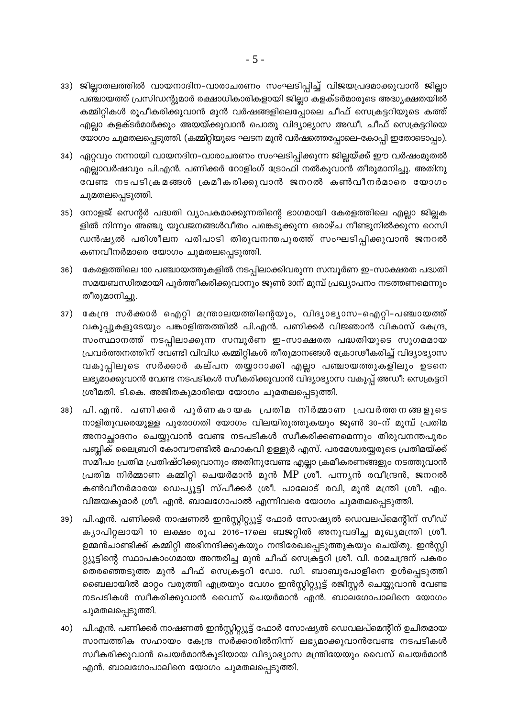- 33) ജില്ലാതലത്തിൽ വായനാദിന-വാരാചരണം സംഘടിപ്പിച്ച് വിജയപ്രദമാക്കുവാൻ ജില്ലാ പഞ്ചായത്ത് പ്രസിഡന്റുമാർ രക്ഷാധികാരികളായി ജില്ലാ കളക്ടർമാരുടെ അദ്ധ്യക്ഷതയിൽ കമ്മിറ്റികൾ രൂപീകരിക്കുവാൻ മുൻ വർഷങ്ങളിലെപ്പോലെ ചീഫ് സെക്രട്ടറിയുടെ കത്ത് എല്ലാ കളക്ടർമാർക്കും അയയ്ക്കുവാൻ പൊതു വിദ്യാഭ്യാസ അഡീ. ചീഫ് സെക്രട്ടറിയെ യോഗം ചുമതലപ്പെടുത്തി. (കമ്മിറ്റിയുടെ ഘടന മുൻ വർഷത്തെപ്പോലെ-കോപ്പി ഇതോടൊപ്പം).
- 34) ഏറ്റവും നന്നായി വായനദിന-വാരാചരണം സംഘടിപ്പിക്കുന്ന ജില്ലയ്ക്ക് ഈ വർഷംമുതൽ എല്ലാവർഷവും പി.എൻ. പണിക്കർ റോളിംഗ് ട്രോഫി നൽകുവാൻ തീരുമാനിച്ചു. അതിനു വേണ്ട നടപടിക്രമങ്ങൾ ക്രമീകരിക്കുവാൻ ജനറൽ കൺവീനർമാരെ യോഗം ചുമതലപ്പെടുത്തി.
- 35) നോളജ് സെന്റർ പദ്ധതി വ്യാപകമാക്കുന്നതിന്റെ ഭാഗമായി കേരളത്തിലെ എല്ലാ ജില്ലക ളിൽ നിന്നും അഞ്ചു യുവജനങ്ങൾവീതം പങ്കെടുക്കുന്ന ഒരാഴ്ച നീണ്ടുനിൽക്കുന്ന റെസി ഡൻഷ്യൽ പരിശീലന പരിപാടി തിരുവനന്തപുരത്ത് സംഘടിപ്പിക്കുവാൻ ജനറൽ കണവീനർമാരെ യോഗം ചുമതലപ്പെടുത്തി.
- 36) കേരളത്തിലെ 100 പഞ്ചായത്തുകളിൽ നടപ്പിലാക്കിവരുന്ന സമ്പൂർണ ഇ–സാക്ഷരത പദ്ധതി സമയബന്ധിതമായി പൂർത്തീകരിക്കുവാനും ജൂൺ 30ന് മുമ്പ് പ്രഖ്യാപനം നടത്തണമെന്നും തീരുമാനിച്ചു.
- 37) കേന്ദ്ര സർക്കാർ ഐറ്റി മന്ത്രാലയത്തിന്റെയും, വിദ്യാഭ്യാസ-ഐറ്റി-പഞ്ചായത്ത് വകുപ്പുകളുടേയും പങ്കാളിത്തത്തിൽ പി.എൻ. പണിക്കർ വിജ്ഞാൻ വികാസ് കേന്ദ്ര, സംസ്ഥാനത്ത് നടപ്പിലാക്കുന്ന സമ്പൂർണ ഇ-സാക്ഷരത പദ്ധതിയുടെ സുഗമമായ പ്രവർത്തനത്തിന് വേണ്ടി വിവിധ കമ്മിറ്റികൾ തീരുമാനങ്ങൾ ക്രോഢീകരിച്ച് വിദ്യാഭ്യാസ വകുപ്പിലൂടെ സർക്കാർ കല്പന തയ്യാറാക്കി എല്ലാ പഞ്ചായത്തുകളിലും ഉടനെ ലഭ്യമാക്കുവാൻ വേണ്ട നടപടികൾ സ്വീകരിക്കുവാൻ വിദ്യാഭ്യാസ വകുപ്പ് അഡീ: സെക്രട്ടറി ശ്രീമതി. ടി.കെ. അജിതകുമാരിയെ യോഗം ചുമതലപ്പെടുത്തി.
- 38) പി.എൻ. പണിക്കർ പൂർണകായക പ്രതിമ നിർമ്മാണ പ്രവർത്തനങ്ങളുടെ നാളിതുവരെയുള്ള പുരോഗതി യോഗം വിലയിരുത്തുകയും ജൂൺ 30-ന് മുമ്പ് പ്രതിമ അനാച്ഛാദനം ചെയ്യുവാൻ വേണ്ട നടപടികൾ സ്ഥീകരിക്കണമെന്നും തിരുവനന്തപുരം പബ്ലിക് ലൈബ്രറി കോമ്പൗണ്ടിൽ മഹാകവി ഉള്ളൂർ എസ്. പരമേശ്വരയ്യരുടെ പ്രതിമയ്ക്ക് സമീപം പ്രതിമ പ്രതിഷ്ഠിക്കുവാനും അതിനുവേണ്ട എല്ലാ ക്രമീകരണങ്ങളും നടത്തുവാൻ പ്രതിമ നിർമ്മാണ കമ്മിറ്റി ചെയർമാൻ മുൻ MP ശ്രീ. പന്ന്യൻ രവീന്ദ്രൻ, ജനറൽ കൺവീനർമാരയ ഡെപ്യൂട്ടി സ്പീക്കർ ശ്രീ. പാലോട് രവി, മുൻ മന്ത്രി ശ്രീ. എം. വിജയകുമാർ ശ്രീ. എൻ. ബാലഗോപാൽ എന്നിവരെ യോഗം ചുമതലപ്പെടുത്തി.
- 39) പി.എൻ. പണിക്കർ നാഷണൽ ഇൻസ്റ്റിറ്റ്യൂട്ട് ഫോർ സോഷ്യൽ ഡെവലപ്മെന്റിന് സീഡ് ക്യാപിറ്റലായി 10 ലക്ഷം രൂപ 2016-17ലെ ബജറ്റിൽ അനുവദിച്ച മുഖ്യമന്ത്രി ശ്രീ. ഉമ്മൻചാണ്ടിക്ക് കമ്മിറ്റി അഭിനന്ദിക്കുകയും നന്ദിരേഖപ്പെടുത്തുകയും ചെയ്തു. ഇൻസ്റ്റി റ്റ്യൂട്ടിന്റെ സ്ഥാപകാംഗമായ അന്തരിച്ച മുൻ ചീഫ് സെക്രട്ടറി ശ്രീ. വി. രാമചന്ദ്രന് പകരം തെരഞ്ഞെടുത്ത മുൻ ചീഫ് സെക്രട്ടറി ഡോ. ഡി. ബാബുപോളിനെ ഉൾപ്പെടുത്തി ബൈലായിൽ മാറ്റം വരുത്തി എത്രയും വേഗം ഇൻസ്റ്റിറ്റ്യൂട്ട് രജിസ്റ്റർ ചെയ്യുവാൻ വേണ്ട നടപടികൾ സ്വീകരിക്കുവാൻ വൈസ് ചെയർമാൻ എൻ. ബാലഗോപാലിനെ യോഗം ചുമതലപ്പെടുത്തി.
- 40) പി.എൻ. പണിക്കർ നാഷണൽ ഇൻസ്റ്റിറ്റ്യൂട്ട് ഫോർ സോഷ്യൽ ഡെവലപ്മെന്റിന് ഉചിതമായ സാമ്പത്തിക സഹായം കേന്ദ്ര സർക്കാരിൽനിന്ന് ലഭ്യമാക്കുവാൻവേണ്ട നടപടികൾ സ്ഥീകരിക്കുവാൻ ചെയർമാൻകൂടിയായ വിദ്യാഭ്യാസ മന്ത്രിയേയും വൈസ് ചെയർമാൻ എൻ. ബാലഗോപാലിനെ യോഗം ചുമതലപ്പെടുത്തി.